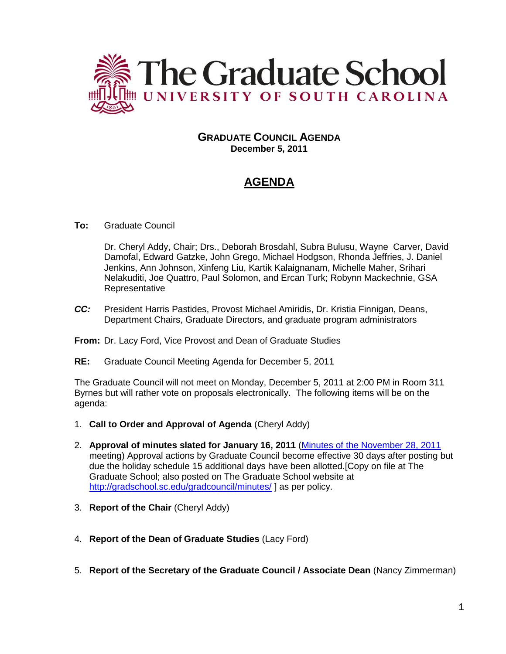

# **GRADUATE COUNCIL AGENDA December 5, 2011**

# **AGENDA**

# **To:** Graduate Council

Dr. Cheryl Addy, Chair; Drs., Deborah Brosdahl, Subra Bulusu, Wayne Carver, David Damofal, Edward Gatzke, John Grego, Michael Hodgson, Rhonda Jeffries, J. Daniel Jenkins, Ann Johnson, Xinfeng Liu, Kartik Kalaignanam, Michelle Maher, Srihari Nelakuditi, Joe Quattro, Paul Solomon, and Ercan Turk; Robynn Mackechnie, GSA **Representative** 

*CC:* President Harris Pastides, Provost Michael Amiridis, Dr. Kristia Finnigan, Deans, Department Chairs, Graduate Directors, and graduate program administrators

#### **From:** Dr. Lacy Ford, Vice Provost and Dean of Graduate Studies

**RE:** Graduate Council Meeting Agenda for December 5, 2011

The Graduate Council will not meet on Monday, December 5, 2011 at 2:00 PM in Room 311 Byrnes but will rather vote on proposals electronically. The following items will be on the agenda:

- 1. **Call to Order and Approval of Agenda** (Cheryl Addy)
- 2. **Approval of minutes slated for January 16, 2011** [\(Minutes of the November 28, 2011](http://gradschool.sc.edu/gradcouncil/minutes/GCMinutes102411.pdf) meeting) Approval actions by Graduate Council become effective 30 days after posting but due the holiday schedule 15 additional days have been allotted.[Copy on file at The Graduate School; also posted on The Graduate School website at <http://gradschool.sc.edu/gradcouncil/minutes/> ] as per policy.
- 3. **Report of the Chair** (Cheryl Addy)
- 4. **Report of the Dean of Graduate Studies** (Lacy Ford)
- 5. **Report of the Secretary of the Graduate Council / Associate Dean** (Nancy Zimmerman)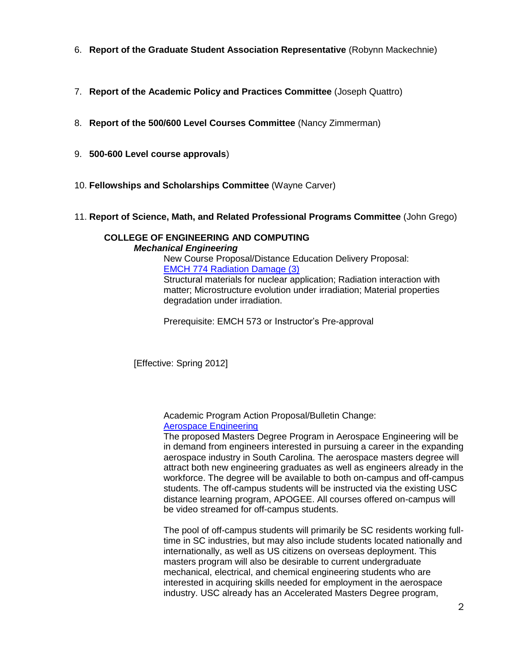- 6. **Report of the Graduate Student Association Representative** (Robynn Mackechnie)
- 7. **Report of the Academic Policy and Practices Committee** (Joseph Quattro)
- 8. **Report of the 500/600 Level Courses Committee** (Nancy Zimmerman)
- 9. **500-600 Level course approvals**)
- 10. **Fellowships and Scholarships Committee** (Wayne Carver)
- 11. **Report of Science, Math, and Related Professional Programs Committee** (John Grego)

# **COLLEGE OF ENGINEERING AND COMPUTING** *Mechanical Engineering*

New Course Proposal/Distance Education Delivery Proposal: [EMCH 774 Radiation Damage \(3\)](http://gradschool.sc.edu/gradcouncil/curr_docs/NCPEMCH774_201141.pdf)

Structural materials for nuclear application; Radiation interaction with matter; Microstructure evolution under irradiation; Material properties degradation under irradiation.

Prerequisite: EMCH 573 or Instructor's Pre-approval

[Effective: Spring 2012]

Academic Program Action Proposal/Bulletin Change: [Aerospace Engineering](http://gradschool.sc.edu/gradcouncil/curr_docs/APAENGRASPACE_201141.PDF)

The proposed Masters Degree Program in Aerospace Engineering will be in demand from engineers interested in pursuing a career in the expanding aerospace industry in South Carolina. The aerospace masters degree will attract both new engineering graduates as well as engineers already in the workforce. The degree will be available to both on-campus and off-campus students. The off-campus students will be instructed via the existing USC distance learning program, APOGEE. All courses offered on-campus will be video streamed for off-campus students.

The pool of off-campus students will primarily be SC residents working fulltime in SC industries, but may also include students located nationally and internationally, as well as US citizens on overseas deployment. This masters program will also be desirable to current undergraduate mechanical, electrical, and chemical engineering students who are interested in acquiring skills needed for employment in the aerospace industry. USC already has an Accelerated Masters Degree program,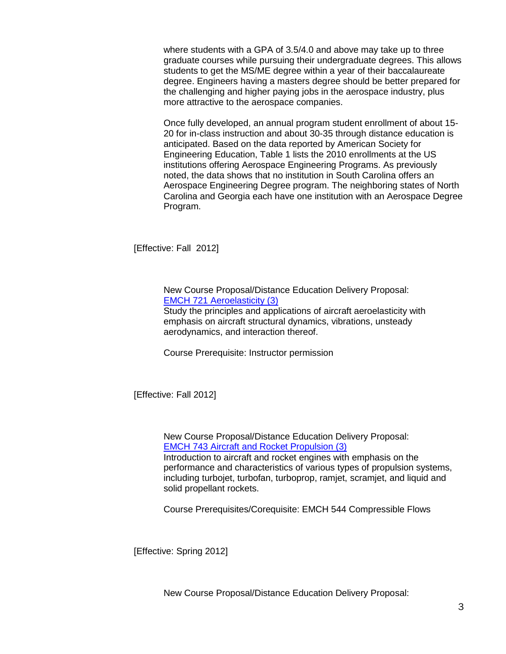where students with a GPA of 3.5/4.0 and above may take up to three graduate courses while pursuing their undergraduate degrees. This allows students to get the MS/ME degree within a year of their baccalaureate degree. Engineers having a masters degree should be better prepared for the challenging and higher paying jobs in the aerospace industry, plus more attractive to the aerospace companies.

Once fully developed, an annual program student enrollment of about 15- 20 for in-class instruction and about 30-35 through distance education is anticipated. Based on the data reported by American Society for Engineering Education, Table 1 lists the 2010 enrollments at the US institutions offering Aerospace Engineering Programs. As previously noted, the data shows that no institution in South Carolina offers an Aerospace Engineering Degree program. The neighboring states of North Carolina and Georgia each have one institution with an Aerospace Degree Program.

[Effective: Fall 2012]

New Course Proposal/Distance Education Delivery Proposal: [EMCH 721 Aeroelasticity \(3\)](http://gradschool.sc.edu/gradcouncil/curr_docs/NCPEMCH721_201141.pdf)

Study the principles and applications of aircraft aeroelasticity with emphasis on aircraft structural dynamics, vibrations, unsteady aerodynamics, and interaction thereof.

Course Prerequisite: Instructor permission

[Effective: Fall 2012]

New Course Proposal/Distance Education Delivery Proposal: [EMCH 743 Aircraft and Rocket Propulsion \(3\)](http://gradschool.sc.edu/gradcouncil/curr_docs/NCPEMCH743_201141.pdf)

Introduction to aircraft and rocket engines with emphasis on the performance and characteristics of various types of propulsion systems, including turbojet, turbofan, turboprop, ramjet, scramjet, and liquid and solid propellant rockets.

Course Prerequisites/Corequisite: EMCH 544 Compressible Flows

[Effective: Spring 2012]

New Course Proposal/Distance Education Delivery Proposal: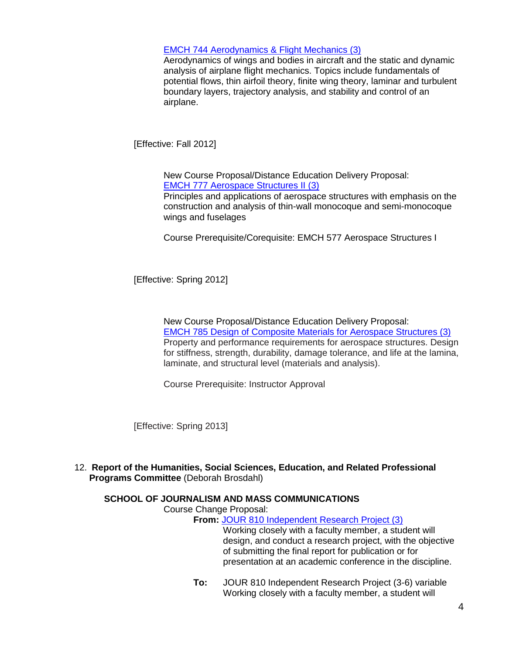# [EMCH 744 Aerodynamics & Flight Mechanics \(3\)](http://gradschool.sc.edu/gradcouncil/curr_docs/NCPEMCH744_201141.pdf)

Aerodynamics of wings and bodies in aircraft and the static and dynamic analysis of airplane flight mechanics. Topics include fundamentals of potential flows, thin airfoil theory, finite wing theory, laminar and turbulent boundary layers, trajectory analysis, and stability and control of an airplane.

[Effective: Fall 2012]

New Course Proposal/Distance Education Delivery Proposal: [EMCH 777 Aerospace Structures II \(3\)](http://gradschool.sc.edu/gradcouncil/curr_docs/NCPEMCH777_201141.pdf)

Principles and applications of aerospace structures with emphasis on the construction and analysis of thin-wall monocoque and semi-monocoque wings and fuselages

Course Prerequisite/Corequisite: EMCH 577 Aerospace Structures I

[Effective: Spring 2012]

New Course Proposal/Distance Education Delivery Proposal: [EMCH 785 Design of Composite Materials for Aerospace Structures \(3\)](http://gradschool.sc.edu/gradcouncil/curr_docs/NCPEMCH785_201141.pdf) Property and performance requirements for aerospace structures. Design for stiffness, strength, durability, damage tolerance, and life at the lamina, laminate, and structural level (materials and analysis).

Course Prerequisite: Instructor Approval

[Effective: Spring 2013]

12. **Report of the Humanities, Social Sciences, Education, and Related Professional Programs Committee** (Deborah Brosdahl)

#### **SCHOOL OF JOURNALISM AND MASS COMMUNICATIONS**

Course Change Proposal:

**From:** [JOUR 810 Independent Research Project \(3\)](http://gradschool.sc.edu/gradcouncil/curr_docs/CCPJOUR810_201141.pdf)

Working closely with a faculty member, a student will design, and conduct a research project, with the objective of submitting the final report for publication or for presentation at an academic conference in the discipline.

**To:** JOUR 810 Independent Research Project (3-6) variable Working closely with a faculty member, a student will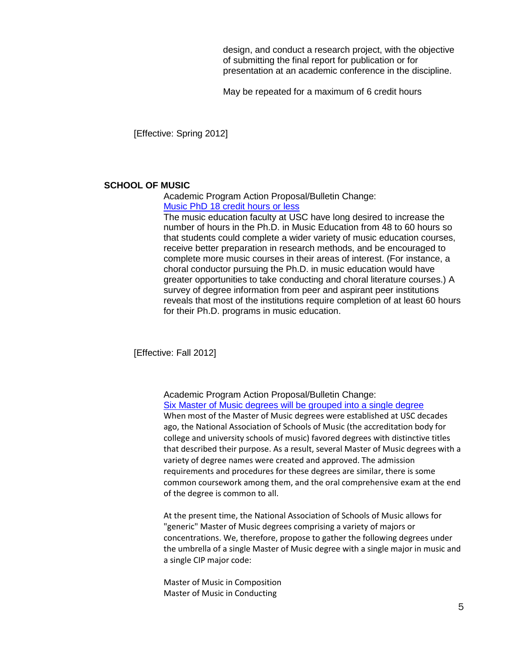design, and conduct a research project, with the objective of submitting the final report for publication or for presentation at an academic conference in the discipline.

May be repeated for a maximum of 6 credit hours

[Effective: Spring 2012]

#### **SCHOOL OF MUSIC**

Academic Program Action Proposal/Bulletin Change: [Music PhD 18 credit hours or less](http://gradschool.sc.edu/gradcouncil/curr_docs/APAMUSCPHD18_201141.pdf)

The music education faculty at USC have long desired to increase the number of hours in the Ph.D. in Music Education from 48 to 60 hours so that students could complete a wider variety of music education courses, receive better preparation in research methods, and be encouraged to complete more music courses in their areas of interest. (For instance, a choral conductor pursuing the Ph.D. in music education would have greater opportunities to take conducting and choral literature courses.) A survey of degree information from peer and aspirant peer institutions reveals that most of the institutions require completion of at least 60 hours for their Ph.D. programs in music education.

[Effective: Fall 2012]

Academic Program Action Proposal/Bulletin Change: [Six Master of Music degrees will be grouped into a single degree](http://gradschool.sc.edu/gradcouncil/curr_docs/APAMUSC6MM_201141.pdf)

When most of the Master of Music degrees were established at USC decades ago, the National Association of Schools of Music (the accreditation body for college and university schools of music) favored degrees with distinctive titles that described their purpose. As a result, several Master of Music degrees with a variety of degree names were created and approved. The admission requirements and procedures for these degrees are similar, there is some common coursework among them, and the oral comprehensive exam at the end of the degree is common to all.

At the present time, the National Association of Schools of Music allows for "generic" Master of Music degrees comprising a variety of majors or concentrations. We, therefore, propose to gather the following degrees under the umbrella of a single Master of Music degree with a single major in music and a single CIP major code:

Master of Music in Composition Master of Music in Conducting